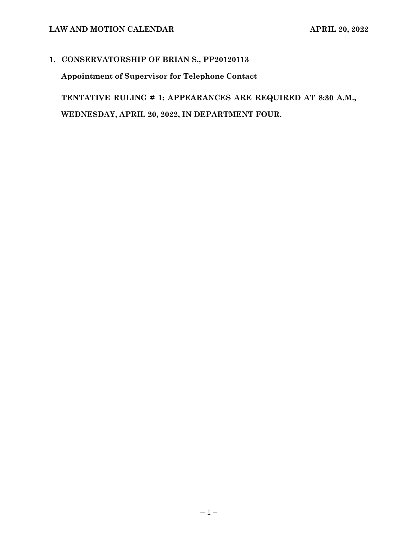# **1. CONSERVATORSHIP OF BRIAN S., PP20120113**

**Appointment of Supervisor for Telephone Contact**

**TENTATIVE RULING # 1: APPEARANCES ARE REQUIRED AT 8:30 A.M., WEDNESDAY, APRIL 20, 2022, IN DEPARTMENT FOUR.**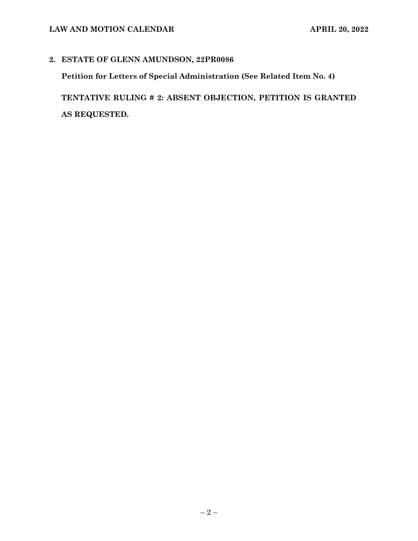# **LAW AND MOTION CALENDAR APRIL 20, 2022**

### **2. ESTATE OF GLENN AMUNDSON, 22PR0086**

**Petition for Letters of Special Administration (See Related Item No. 4)**

**TENTATIVE RULING # 2: ABSENT OBJECTION, PETITION IS GRANTED AS REQUESTED.**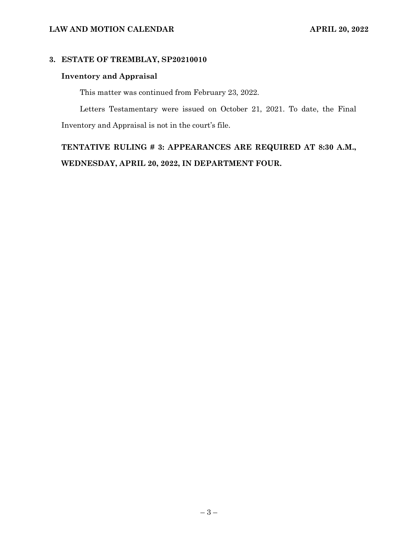### **3. ESTATE OF TREMBLAY, SP20210010**

### **Inventory and Appraisal**

This matter was continued from February 23, 2022.

Letters Testamentary were issued on October 21, 2021. To date, the Final Inventory and Appraisal is not in the court's file.

**TENTATIVE RULING # 3: APPEARANCES ARE REQUIRED AT 8:30 A.M., WEDNESDAY, APRIL 20, 2022, IN DEPARTMENT FOUR.**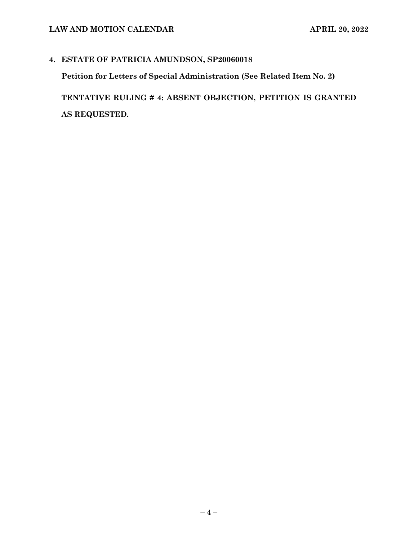# **4. ESTATE OF PATRICIA AMUNDSON, SP20060018**

**Petition for Letters of Special Administration (See Related Item No. 2)**

**TENTATIVE RULING # 4: ABSENT OBJECTION, PETITION IS GRANTED AS REQUESTED.**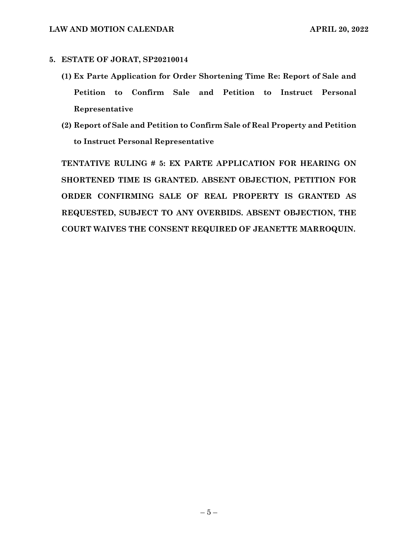#### **5. ESTATE OF JORAT, SP20210014**

- **(1) Ex Parte Application for Order Shortening Time Re: Report of Sale and Petition to Confirm Sale and Petition to Instruct Personal Representative**
- **(2) Report of Sale and Petition to Confirm Sale of Real Property and Petition to Instruct Personal Representative**

**TENTATIVE RULING # 5: EX PARTE APPLICATION FOR HEARING ON SHORTENED TIME IS GRANTED. ABSENT OBJECTION, PETITION FOR ORDER CONFIRMING SALE OF REAL PROPERTY IS GRANTED AS REQUESTED, SUBJECT TO ANY OVERBIDS. ABSENT OBJECTION, THE COURT WAIVES THE CONSENT REQUIRED OF JEANETTE MARROQUIN.**